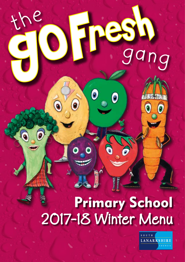# **Primary School** 2017-18 Winter Menu

**JA** 

 $\bullet$ 

d

le



ang

Ō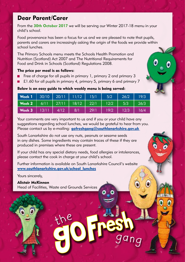## Dear Parent/Carer

From the 30th October 2017 we will be serving our Winter 2017-18 menu in your child's school.

Food provenance has been a focus for us and we are pleased to note that pupils, parents and carers are increasingly asking the origin of the foods we provide within school lunches.

The Primary Schools menu meets the Schools Health Promotion and Nutrition (Scotland) Act 2007 and The Nutritional Requirements for Food and Drink in Schools (Scotland) Regulations 2008.

### The price per meal is as follows:

- Free of charge for all pupils in primary 1, primary 2 and primary 3
- £1.60 for all pupils in primary 4, primary 5, primary 6 and primary 7

#### Below is an easy guide to which weekly menu is being served:

| Week 1 | 30/10' | 20/11 | 11/12 | 15/1 | 5/2  | 26/2 | 19/3 |
|--------|--------|-------|-------|------|------|------|------|
| Week 2 | 6/11   | 27/11 | 18/12 | 22/1 | 12/2 | 5/3  | 26/3 |
| Week 3 | 13/11  | 4/12  | 8/1   | 29/1 | 19/2 | 12/3 | 16/4 |

Your comments are very important to us and if you or your child have any suggestions regarding school lunches, we would be grateful to hear from you. Please contact us by e-mailing:  $\frac{1}{2}$  as  $\frac{1}{2}$  as  $\frac{1}{2}$  as  $\frac{1}{2}$  as  $\frac{1}{2}$  as  $\frac{1}{2}$  as  $\frac{1}{2}$  as  $\frac{1}{2}$  as  $\frac{1}{2}$  as  $\frac{1}{2}$  as  $\frac{1}{2}$  as  $\frac{1}{2}$  as  $\frac{1}{2}$  as  $\frac{1}{2}$  as  $\frac{1}{2$ 

South Lanarkshire do not use any nuts, peanuts or sesame seeds in any dishes. Some ingredients may contain traces of these if they are produced in premises where these are present.

If your child has any special dietary needs, food allergies or intolerances, please contact the cook in charge at your child's school.

Further information is available on South Lanarkshire Council's website www.southlanarkshire.gov.uk/school\_lunches

ga ng

Yours sincerely.

Alistair McKinnon Head of Facilities, Waste and Grounds Services

th <sup>e</sup>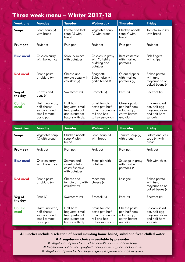## Three week menu – Winter 2017-18

| <b>Week one</b>   | <b>Monday</b>                                                               | <b>Tuesday</b>                                                                   | Wednesday                                                                              | <b>Thursday</b>                                                          | <b>Friday</b>                                                                 |
|-------------------|-----------------------------------------------------------------------------|----------------------------------------------------------------------------------|----------------------------------------------------------------------------------------|--------------------------------------------------------------------------|-------------------------------------------------------------------------------|
| Soups             | Lentil soup (v)<br>with bread                                               | Potato and leek<br>soup $(v)$ with<br>bread                                      | Vegetable soup<br>(v) with bread                                                       | Chicken noodle<br>soup $#$ with<br>bread                                 | Tomato soup (v)<br>with bread                                                 |
| Fruit pot         | Fruit pot                                                                   | Fruit pot                                                                        | Fruit pot                                                                              | Fruit pot                                                                | Fruit pot                                                                     |
| <b>Blue meal</b>  | Chicken curry<br>with boiled rice                                           | Savoury mince<br>with potatoes                                                   | Chicken in gravy<br>with Yorkshire<br>pudding and<br>potatoes                          | Beef casserole<br>with mashed<br>potatoes                                | Fish fingers<br>with chips                                                    |
| <b>Red meal</b>   | Penne pasta<br>arrabiata (v)                                                | Cheese and<br>tomato pizza with<br>coleslaw (v)                                  | Spaghetti<br>Bolognaise with<br>garlic bread #                                         | Ouorn dippers<br>with mashed<br>potatoes (v)                             | Baked potato<br>with tuna<br>mayonnaise or<br>baked beans (v)                 |
| Veg of<br>the day | Carrots and<br>peas (v)                                                     | Sweetcorn (v)                                                                    | Broccoli (v)                                                                           | Peas $(v)$                                                               | Beetroot (v)                                                                  |
| Combo<br>meal     | Half tuna wrap,<br>half cheese<br>sandwich and<br>small tomato<br>pasta pot | Half ham<br>baguette, small<br>tuna pasta pot<br>and cucumber<br>batons with dip | Small tomato<br>pasta pot, half<br>tuna mayonnaise<br>roll and half<br>turkey sandwich | Cheese pasta<br>pot, half ham<br>salad wrap,<br>carrot batons<br>and dip | Chicken salad<br>pot, half egg<br>mayonnaise roll<br>and half ham<br>sandwich |

| <b>Week two</b>   | <b>Monday</b>                                                               | <b>Tuesday</b>                                                                   | Wednesday                                                                              | <b>Thursday</b>                                                          | <b>Friday</b>                                                                 |
|-------------------|-----------------------------------------------------------------------------|----------------------------------------------------------------------------------|----------------------------------------------------------------------------------------|--------------------------------------------------------------------------|-------------------------------------------------------------------------------|
| Soups             | Vegetable soup<br>(v) with bread                                            | Chicken noodle<br>soup $#$ with<br>bread                                         | Lentil soup (v)<br>with bread                                                          | Tomato soup (v)<br>with bread                                            | Potato and leek<br>soup $(v)$ with<br>bread                                   |
| Fruit pot         | Fruit pot                                                                   | Fruit pot                                                                        | Fruit pot                                                                              | Fruit pot                                                                | Fruit pot                                                                     |
| <b>Blue meal</b>  | Chicken curry<br>with boiled rice                                           | Salmon and<br>sweet potato<br>crispy fishcake<br>with potatoes                   | Steak pie with<br>potatoes                                                             | Sausage in gravy<br>with mashed<br>potatoes $#$                          | Fish with chips                                                               |
| <b>Red meal</b>   | Penne pasta<br>arrabiata (v)                                                | Cheese and<br>tomato pizza with<br>coleslaw (v)                                  | Macaroni<br>cheese (v)                                                                 | Lasagne                                                                  | Baked potato<br>with tung<br>mayonnaise or<br>baked beans (v)                 |
| Veg of<br>the day | Peas $(v)$                                                                  | Sweetcorn (v)                                                                    | Broccoli (v)                                                                           | Peas $(v)$                                                               | Beetroot (v)                                                                  |
| Combo<br>meal     | Half tuna wrap,<br>half cheese<br>sandwich and<br>small tomato<br>pasta pot | Half ham<br>baguette, small<br>tuna pasta pot<br>and cucumber<br>batons with dip | Small tomato<br>pasta pot, half<br>tuna mayonnaise<br>roll and half<br>turkey sandwich | Cheese pasta<br>pot, half ham<br>salad wrap,<br>carrot batons<br>and dip | Chicken salad<br>pot, half egg<br>mayonnaise roll<br>and half ham<br>sandwich |

All lunches include a selection of bread including home baked, salad and fresh chilled water

# A vegetarian choice is available by pre-order

- *# Vegetarian option for chicken noodle soup is noodle soup*
- *# Vegetarian option for Spaghetti bolognaise is Quorn bolognaise*
- *# Vegetarian option for Sausage in gravy is Quorn sausage in gravy*